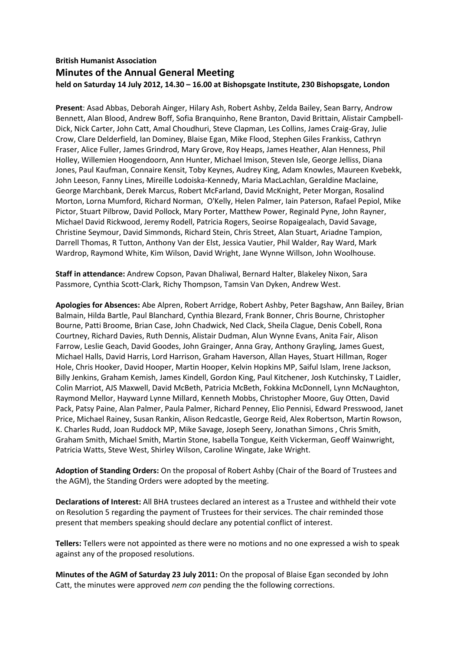## **British Humanist Association Minutes of the Annual General Meeting held on Saturday 14 July 2012, 14.30 – 16.00 at Bishopsgate Institute, 230 Bishopsgate, London**

**Present**: Asad Abbas, Deborah Ainger, Hilary Ash, Robert Ashby, Zelda Bailey, Sean Barry, Androw Bennett, Alan Blood, Andrew Boff, Sofia Branquinho, Rene Branton, David Brittain, Alistair Campbell-Dick, Nick Carter, John Catt, Amal Choudhuri, Steve Clapman, Les Collins, James Craig-Gray, Julie Crow, Clare Delderfield, Ian Dominey, Blaise Egan, Mike Flood, Stephen Giles Frankiss, Cathryn Fraser, Alice Fuller, James Grindrod, Mary Grove, Roy Heaps, James Heather, Alan Henness, Phil Holley, Willemien Hoogendoorn, Ann Hunter, Michael Imison, Steven Isle, George Jelliss, Diana Jones, Paul Kaufman, Connaire Kensit, Toby Keynes, Audrey King, Adam Knowles, Maureen Kvebekk, John Leeson, Fanny Lines, Mireille Lodoiska-Kennedy, Maria MacLachlan, Geraldine Maclaine, George Marchbank, Derek Marcus, Robert McFarland, David McKnight, Peter Morgan, Rosalind Morton, Lorna Mumford, Richard Norman, O'Kelly, Helen Palmer, Iain Paterson, Rafael Pepiol, Mike Pictor, Stuart Pilbrow, David Pollock, Mary Porter, Matthew Power, Reginald Pyne, John Rayner, Michael David Rickwood, Jeremy Rodell, Patricia Rogers, Seoirse Ropaigealach, David Savage, Christine Seymour, David Simmonds, Richard Stein, Chris Street, Alan Stuart, Ariadne Tampion, Darrell Thomas, R Tutton, Anthony Van der Elst, Jessica Vautier, Phil Walder, Ray Ward, Mark Wardrop, Raymond White, Kim Wilson, David Wright, Jane Wynne Willson, John Woolhouse.

**Staff in attendance:** Andrew Copson, Pavan Dhaliwal, Bernard Halter, Blakeley Nixon, Sara Passmore, Cynthia Scott-Clark, Richy Thompson, Tamsin Van Dyken, Andrew West.

**Apologies for Absences:** Abe Alpren, Robert Arridge, Robert Ashby, Peter Bagshaw, Ann Bailey, Brian Balmain, Hilda Bartle, Paul Blanchard, Cynthia Blezard, Frank Bonner, Chris Bourne, Christopher Bourne, Patti Broome, Brian Case, John Chadwick, Ned Clack, Sheila Clague, Denis Cobell, Rona Courtney, Richard Davies, Ruth Dennis, Alistair Dudman, Alun Wynne Evans, Anita Fair, Alison Farrow, Leslie Geach, David Goodes, John Grainger, Anna Gray, Anthony Grayling, James Guest, Michael Halls, David Harris, Lord Harrison, Graham Haverson, Allan Hayes, Stuart Hillman, Roger Hole, Chris Hooker, David Hooper, Martin Hooper, Kelvin Hopkins MP, Saiful Islam, Irene Jackson, Billy Jenkins, Graham Kemish, James Kindell, Gordon King, Paul Kitchener, Josh Kutchinsky, T Laidler, Colin Marriot, AJS Maxwell, David McBeth, Patricia McBeth, Fokkina McDonnell, Lynn McNaughton, Raymond Mellor, Hayward Lynne Millard, Kenneth Mobbs, Christopher Moore, Guy Otten, David Pack, Patsy Paine, Alan Palmer, Paula Palmer, Richard Penney, Elio Pennisi, Edward Presswood, Janet Price, Michael Rainey, Susan Rankin, Alison Redcastle, George Reid, Alex Robertson, Martin Rowson, K. Charles Rudd, Joan Ruddock MP, Mike Savage, Joseph Seery, Jonathan Simons , Chris Smith, Graham Smith, Michael Smith, Martin Stone, Isabella Tongue, Keith Vickerman, Geoff Wainwright, Patricia Watts, Steve West, Shirley Wilson, Caroline Wingate, Jake Wright.

**Adoption of Standing Orders:** On the proposal of Robert Ashby (Chair of the Board of Trustees and the AGM), the Standing Orders were adopted by the meeting.

**Declarations of Interest:** All BHA trustees declared an interest as a Trustee and withheld their vote on Resolution 5 regarding the payment of Trustees for their services. The chair reminded those present that members speaking should declare any potential conflict of interest.

**Tellers:** Tellers were not appointed as there were no motions and no one expressed a wish to speak against any of the proposed resolutions.

**Minutes of the AGM of Saturday 23 July 2011:** On the proposal of Blaise Egan seconded by John Catt, the minutes were approved *nem con* pending the the following corrections.